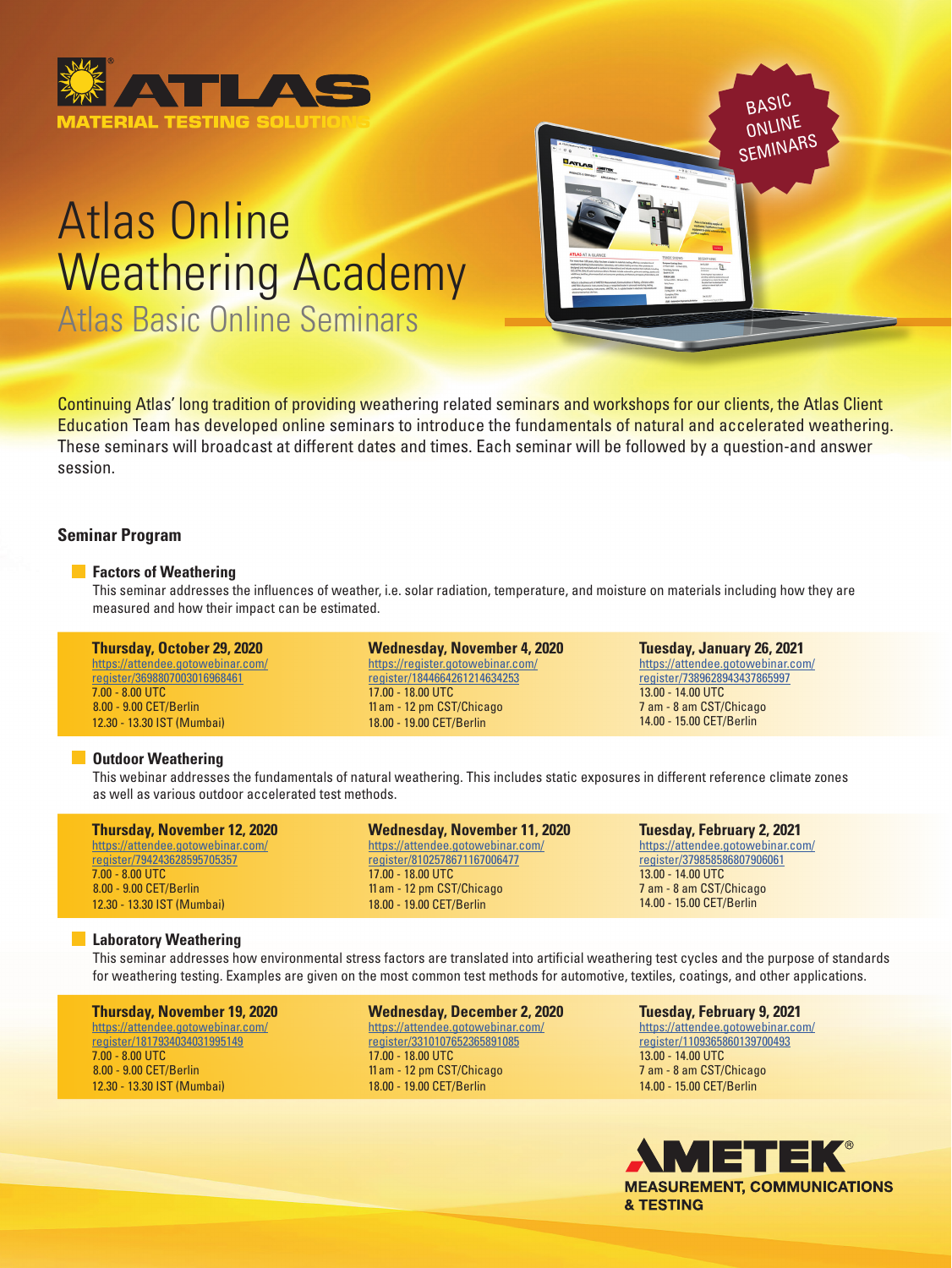

# Atlas Online Weathering Academy

Atlas Basic Online Seminars



Continuing Atlas' long tradition of providing weathering related seminars and workshops for our clients, the Atlas Client Education Team has developed online seminars to introduce the fundamentals of natural and accelerated weathering. These seminars will broadcast at different dates and times. Each seminar will be followed by a question-and answer session.

# **Seminar Program**

# **Factors of Weathering**

 This seminar addresses the influences of weather, i.e. solar radiation, temperature, and moisture on materials including how they are measured and how their impact can be estimated.

#### **Thursda[y, O](https://attendee.gotowebinar.com/register/2548158187309902348)ctober 29, 2020** [https://attendee.gotowebinar.com/](https://attendee.gotowebinar.com/register/3698807003016968461) [register/3698807003016968461](https://attendee.gotowebinar.com/register/3698807003016968461) 7.00 - 8.00 UTC 8.00 - 9.00 CET/Berlin 12.30 - 13.30 IST (Mumbai)

**Wednesday, November 4, 2020** [https://register.gotowebinar.com/](https://register.gotowebinar.com/register/1844664261214634253) [register/1844664261214634253](https://register.gotowebinar.com/register/1844664261214634253) 17.00 - 18.00 UTC 11 am - 12 pm CST/Chicago 18.00 - 19.00 CET/Berlin

**Tuesday, January 26, 2021** [https://attendee.gotowebinar.com/](https://attendee.gotowebinar.com/register/7389628943437865997) [register/7389628943437865997](https://attendee.gotowebinar.com/register/7389628943437865997) 13.00 - 14.00 UTC 7 am - 8 am CST/Chicago 14.00 - 15.00 CET/Berlin

### **COutdoor Weathering**

 This webinar addresses the fundamentals of natural weathering. This includes static exposures in different reference climate zones as well as various outdoor accelerated test methods.

| <b>Thursday, November 12, 2020</b> |
|------------------------------------|
| https://attendee.gotowebinar.com/  |
| register/794243628595705357        |
| $7.00 - 8.00$ UTC                  |
| 8.00 - 9.00 CET/Berlin             |
| 12.30 - 13.30 IST (Mumbai)         |

**Wednesday, November 11, 2020** [https://attendee.gotowebinar.com/](https://attendee.gotowebinar.com/register/8102578671167006477) [register/8102578671167006477](https://attendee.gotowebinar.com/register/8102578671167006477) 17.00 - 18.00 UTC 11 am - 12 pm CST/Chicago 18.00 - 19.00 CET/Berlin

**Tuesday, February 2, 2021** [https://attendee.gotowebinar.com/](https://attendee.gotowebinar.com/register/379858586807906061) [register/379858586807906061](https://attendee.gotowebinar.com/register/379858586807906061) 13.00 - 14.00 UTC 7 am - 8 am CST/Chicago 14.00 - 15.00 CET/Berlin

# **Laboratory Weathering**

 This seminar addresses how environmental stress factors are translated into artificial weathering test cycles and the purpose of standards for weathering testing. Examples are given on the most common test methods for automotive, textiles, coatings, and other applications.

### **Thursday, November 19, 2020**

[https://attendee.gotowebinar.com/](https://attendee.gotowebinar.com/register/1817934034031995149) [register/1817934034031995149](https://attendee.gotowebinar.com/register/1817934034031995149) 7.00 - 8.00 UTC 8.00 - 9.00 CET/Berlin 12.30 - 13.30 IST (Mumbai)

**Wednesday, December 2, 2020** [https://attendee.gotowebinar.com/](https://attendee.gotowebinar.com/register/3310107652365891085) [register/3310107652365891085](https://attendee.gotowebinar.com/register/3310107652365891085) 17.00 - 18.00 UTC 11 am - 12 pm CST/Chicago 18.00 - 19.00 CET/Berlin

**Tuesday, February 9, 2021** [https://attendee.gotowebinar.com/](https://attendee.gotowebinar.com/register/1109365860139700493) [register/1109365860139700493](https://attendee.gotowebinar.com/register/1109365860139700493) 13.00 - 14.00 UTC 7 am - 8 am CST/Chicago 14.00 - 15.00 CET/Berlin